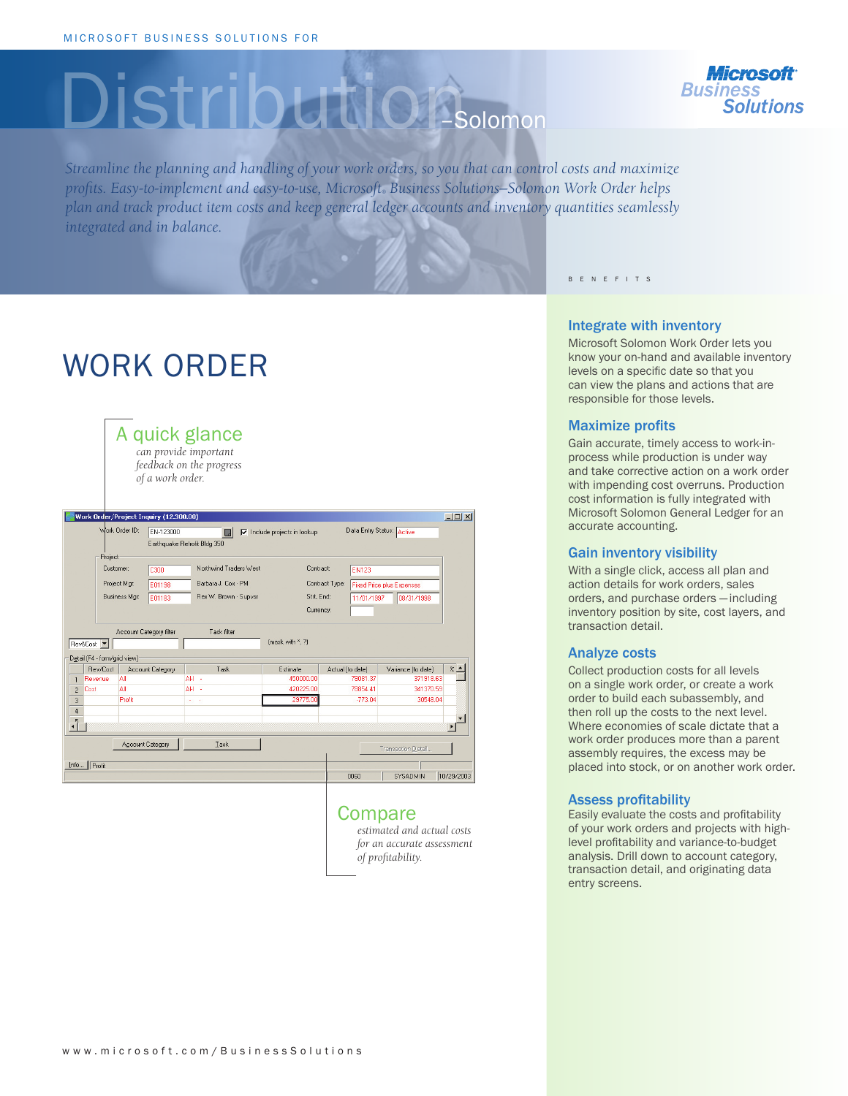# Distribution – Solomon



*Streamline the planning and handling of your work orders, so you that can control costs and maximize profits. Easy-to-implement and easy-to-use, Microsoft® Business Solutions—Solomon Work Order helps plan and track product item costs and keep general ledger accounts and inventory quantities seamlessly integrated and in balance.* 

# WORK ORDER

| A quick glance<br>can provide important<br>feedback on the progress<br>of a work order. |                  |                              |                                     |                    |                                  |                           |  |
|-----------------------------------------------------------------------------------------|------------------|------------------------------|-------------------------------------|--------------------|----------------------------------|---------------------------|--|
| $   \times$<br>Work Order/Project Inquiry (12.300.00)                                   |                  |                              |                                     |                    |                                  |                           |  |
| Work Order ID:                                                                          | EN-123000        | П.                           | $\nabla$ Include projects in lookup |                    | Data Entry Status: Active        |                           |  |
|                                                                                         |                  | Earthquake Retrofit Bldg 350 |                                     |                    |                                  |                           |  |
| Project                                                                                 |                  |                              |                                     |                    |                                  |                           |  |
| Customer:                                                                               | C300             | Northwind Traders West       | Contract:                           | <b>EN123</b>       |                                  |                           |  |
| Project Mgr:                                                                            | E01198           | Barbara J. Cox - PM          |                                     | Contract Type:     | <b>Fixed Price plus Expenses</b> |                           |  |
| Business Mgr.                                                                           | E01183           | Rex W. Brown - Supysr        | Strt, End:                          | 11/01/1997         | 08/31/1998                       |                           |  |
|                                                                                         |                  |                              | Currency:                           |                    |                                  |                           |  |
|                                                                                         |                  |                              |                                     |                    |                                  |                           |  |
| Task filter<br>Account Category filter                                                  |                  |                              |                                     |                    |                                  |                           |  |
| Rev&Cost -                                                                              |                  |                              | fmask with *. ?!                    |                    |                                  |                           |  |
| Detail (F4 - form/grid view)                                                            |                  |                              |                                     |                    |                                  |                           |  |
| Rev/Cost                                                                                | Account Category | Task                         | <b>Estimate</b>                     | Actual (to date)   | Variance (to date)               | $\frac{2}{6}$ $\triangle$ |  |
| All<br>Revenue<br>$\mathbf{1}$                                                          |                  | AH -                         | 450000.00                           | 78081.37           | 371918.63                        |                           |  |
| All<br>Cost<br>$\mathfrak{p}$                                                           |                  | AH -                         | 420225.00                           | 78854.41           | 341370.59                        |                           |  |
| Profit<br>3                                                                             |                  | $\sim$                       | 29775.00                            | $-77304$           | 30548.04                         |                           |  |
| $\ddot{4}$                                                                              |                  |                              |                                     |                    |                                  |                           |  |
| $\sqrt{2}$                                                                              |                  |                              |                                     |                    |                                  |                           |  |
| Account Category<br>Task                                                                |                  |                              |                                     | Transaction Detail |                                  |                           |  |
| Info   Profit                                                                           |                  |                              |                                     |                    |                                  |                           |  |
|                                                                                         |                  |                              |                                     | 0060               | SYSADMIN                         | 10/29/2003                |  |
|                                                                                         |                  |                              |                                     |                    |                                  |                           |  |

## Compare

*estimated and actual costs for an accurate assessment of profitability.*

B E N E F I T S

#### Integrate with inventory

Microsoft Solomon Work Order lets you know your on-hand and available inventory levels on a specific date so that you can view the plans and actions that are responsible for those levels.

#### Maximize profits

Gain accurate, timely access to work-inprocess while production is under way and take corrective action on a work order with impending cost overruns. Production cost information is fully integrated with Microsoft Solomon General Ledger for an accurate accounting.

#### Gain inventory visibility

With a single click, access all plan and action details for work orders, sales orders, and purchase orders — including inventory position by site, cost layers, and transaction detail.

#### Analyze costs

Collect production costs for all levels on a single work order, or create a work order to build each subassembly, and then roll up the costs to the next level. Where economies of scale dictate that a work order produces more than a parent assembly requires, the excess may be placed into stock, or on another work order.

#### Assess profitability

Easily evaluate the costs and profitability of your work orders and projects with highlevel profitability and variance-to-budget analysis. Drill down to account category, transaction detail, and originating data entry screens.